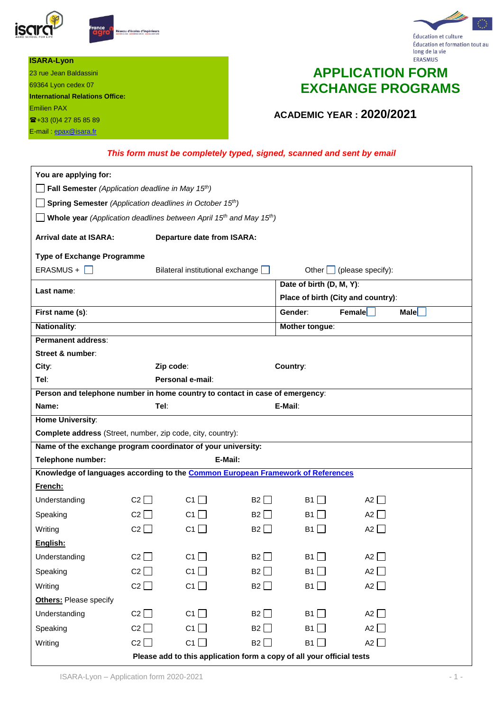

23 rue Jean Baldassini 69364 Lyon cedex 07

+33 (0)4 27 85 85 89 E-mail **epax@isara.fr** 

**International Relations Office:**

**ISARA-Lyon**

Emilien PAX





# **APPLICATION FORM EXCHANGE PROGRAMS**

**ACADEMIC YEAR : 2020/2021**

#### *This form must be completely typed, signed, scanned and sent by email*

| You are applying for:                                                                                           |             |                                   |                       |                          |                                    |      |
|-----------------------------------------------------------------------------------------------------------------|-------------|-----------------------------------|-----------------------|--------------------------|------------------------------------|------|
| Fall Semester (Application deadline in May 15th)                                                                |             |                                   |                       |                          |                                    |      |
| Spring Semester (Application deadlines in October 15th)                                                         |             |                                   |                       |                          |                                    |      |
| Whole year (Application deadlines between April 15 <sup>th</sup> and May 15 <sup>th</sup> )                     |             |                                   |                       |                          |                                    |      |
| <b>Arrival date at ISARA:</b>                                                                                   |             | <b>Departure date from ISARA:</b> |                       |                          |                                    |      |
| <b>Type of Exchange Programme</b>                                                                               |             |                                   |                       |                          |                                    |      |
| ERASMUS +                                                                                                       |             | Bilateral institutional exchange  |                       |                          | Other $\Box$ (please specify):     |      |
| Last name:                                                                                                      |             |                                   |                       | Date of birth (D, M, Y): |                                    |      |
|                                                                                                                 |             |                                   |                       |                          | Place of birth (City and country): |      |
| First name (s):                                                                                                 |             |                                   |                       | Gender:                  | <b>Female</b>                      | Male |
| <b>Nationality:</b>                                                                                             |             |                                   |                       | Mother tongue:           |                                    |      |
| <b>Permanent address:</b>                                                                                       |             |                                   |                       |                          |                                    |      |
| Street & number:                                                                                                |             |                                   |                       |                          |                                    |      |
| City:                                                                                                           |             | Zip code:                         |                       | Country:                 |                                    |      |
| Tel:                                                                                                            |             | Personal e-mail:                  |                       |                          |                                    |      |
| Person and telephone number in home country to contact in case of emergency:                                    |             |                                   |                       |                          |                                    |      |
| Name:                                                                                                           |             | Tel:                              |                       | E-Mail:                  |                                    |      |
| <b>Home University:</b>                                                                                         |             |                                   |                       |                          |                                    |      |
| Complete address (Street, number, zip code, city, country):                                                     |             |                                   |                       |                          |                                    |      |
| Name of the exchange program coordinator of your university:                                                    |             |                                   |                       |                          |                                    |      |
| Telephone number:<br>E-Mail:<br>Knowledge of languages according to the Common European Framework of References |             |                                   |                       |                          |                                    |      |
| French:                                                                                                         |             |                                   |                       |                          |                                    |      |
| Understanding                                                                                                   | C2          | C <sub>1</sub> $\Box$             | B2                    | B1                       | A2 $\Box$                          |      |
|                                                                                                                 | $C2$        | $C1$                              | $B2$                  | B1                       | $A2$                               |      |
| Speaking                                                                                                        |             |                                   |                       |                          |                                    |      |
| Writing                                                                                                         | C2          | C1                                | B2                    | B1                       | A2 $\vert$                         |      |
| English:                                                                                                        |             |                                   |                       |                          |                                    |      |
| Understanding                                                                                                   | C2          | C1                                | B2                    | B1                       | A2 $\square$                       |      |
| Speaking                                                                                                        | C2          | C1 $\Box$                         | B <sub>2</sub> $\Box$ | B1                       | A2 $\square$                       |      |
| Writing                                                                                                         | $C2$ $\Box$ | C <sub>1</sub> $\Box$             | B <sub>2</sub> $\Box$ | B1                       | A2 $\square$                       |      |
| Others: Please specify                                                                                          |             |                                   |                       |                          |                                    |      |
| Understanding                                                                                                   | C2          | C1 $\Box$                         | B2 $\Box$             | B1                       | A2 $\square$                       |      |
| Speaking                                                                                                        | C2          | C <sub>1</sub> $\Box$             | B2                    | B1                       | A2 $\Box$                          |      |
| Writing                                                                                                         | $C2$ $\Box$ | C <sub>1</sub> $\Box$             | B2                    | B1                       | A2 $\square$                       |      |
| Please add to this application form a copy of all your official tests                                           |             |                                   |                       |                          |                                    |      |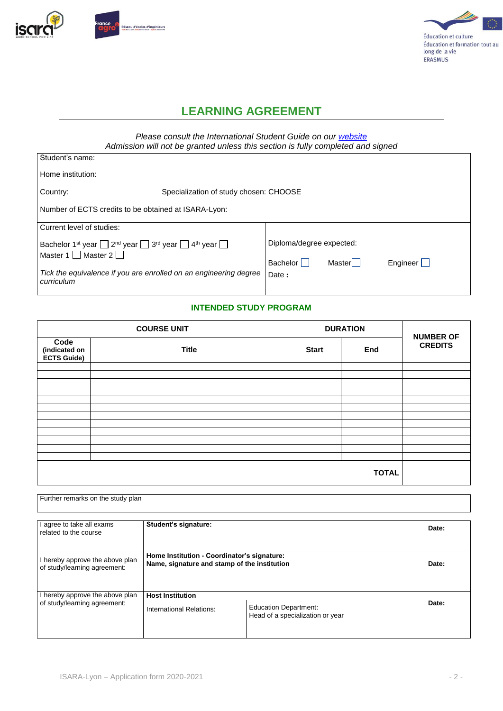



## **LEARNING AGREEMENT**

*Please consult the International Student Guide on our [website](https://www.isara.fr/en/Study-at-Isara-Lyon/Exchange-students/Academic-semesters-and-intersnhips) Admission will not be granted unless this section is fully completed and signed*

| Student's name:                                                                                                          |                                        |        |                 |  |  |
|--------------------------------------------------------------------------------------------------------------------------|----------------------------------------|--------|-----------------|--|--|
| Home institution:                                                                                                        |                                        |        |                 |  |  |
| Country:                                                                                                                 | Specialization of study chosen: CHOOSE |        |                 |  |  |
| Number of ECTS credits to be obtained at ISARA-Lyon:                                                                     |                                        |        |                 |  |  |
| Current level of studies:                                                                                                |                                        |        |                 |  |  |
| Bachelor 1 <sup>st</sup> year $\Box$ 2 <sup>nd</sup> year $\Box$ 3 <sup>rd</sup> year $\Box$ 4 <sup>th</sup> year $\Box$ | Diploma/degree expected:               |        |                 |  |  |
| Master 1 $\Box$ Master 2 $\Box$                                                                                          | Bachelor                               | Master | Engineer $\Box$ |  |  |
| Tick the equivalence if you are enrolled on an engineering degree<br>curriculum                                          |                                        | Date:  |                 |  |  |
|                                                                                                                          |                                        |        |                 |  |  |

#### **INTENDED STUDY PROGRAM**

|                                             | <b>COURSE UNIT</b>                  | <b>DURATION</b> | <b>NUMBER OF</b> |  |
|---------------------------------------------|-------------------------------------|-----------------|------------------|--|
| Code<br>(indicated on<br><b>ECTS Guide)</b> | <b>Title</b><br>End<br><b>Start</b> |                 | <b>CREDITS</b>   |  |
|                                             |                                     |                 |                  |  |
|                                             |                                     |                 |                  |  |
|                                             |                                     |                 |                  |  |
|                                             |                                     |                 |                  |  |
|                                             |                                     |                 |                  |  |
|                                             |                                     |                 |                  |  |
|                                             |                                     |                 |                  |  |
|                                             |                                     |                 |                  |  |
|                                             |                                     |                 |                  |  |
|                                             |                                     |                 |                  |  |
|                                             |                                     |                 |                  |  |
|                                             |                                     |                 |                  |  |

Further remarks on the study plan

| agree to take all exams<br>related to the course                | Student's signature:                                                                                 |                                                                  | Date: |
|-----------------------------------------------------------------|------------------------------------------------------------------------------------------------------|------------------------------------------------------------------|-------|
| I hereby approve the above plan<br>of study/learning agreement: | Home Institution - Coordinator's signature:<br>Name, signature and stamp of the institution<br>Date: |                                                                  |       |
| I hereby approve the above plan<br>of study/learning agreement: | <b>Host Institution</b><br>International Relations:                                                  | <b>Education Department:</b><br>Head of a specialization or year | Date: |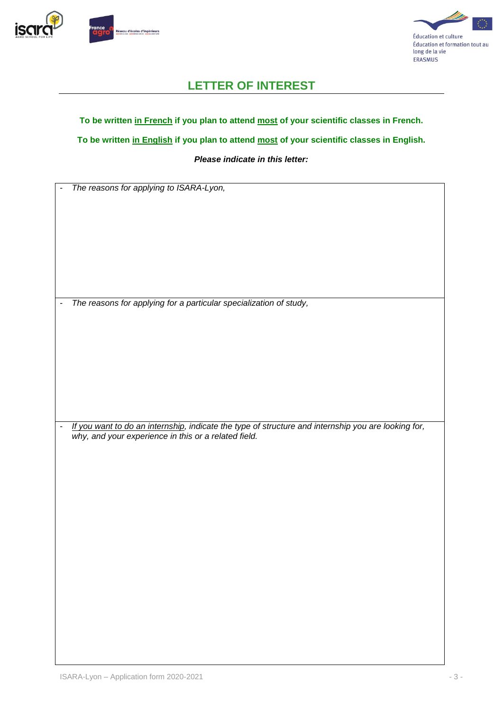



## **LETTER OF INTEREST**

#### **To be written in French if you plan to attend most of your scientific classes in French.**

**To be written in English if you plan to attend most of your scientific classes in English.**

#### *Please indicate in this letter:*

- *The reasons for applying to ISARA-Lyon,*

- *The reasons for applying for a particular specialization of study,*

- *If you want to do an internship, indicate the type of structure and internship you are looking for, why, and your experience in this or a related field.*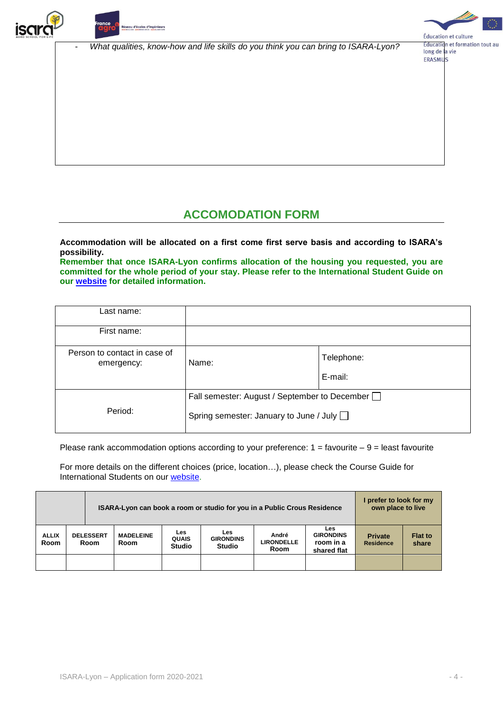



- *What qualities, know-how and life skills do you think you can bring to ISARA-Lyon?*



#### Éducation et formation tout au long de la vie **ERASMUS**

# **ACCOMODATION FORM**

**Accommodation will be allocated on a first come first serve basis and according to ISARA's possibility.**

**Remember that once ISARA-Lyon confirms allocation of the housing you requested, you are committed for the whole period of your stay. Please refer to the International Student Guide on our [website](https://www.isara.fr/en/Study-at-Isara-Lyon/Exchange-students/Academic-semesters-and-intersnhips) for detailed information.**

| Last name:                                 |                                                                                                 |                       |
|--------------------------------------------|-------------------------------------------------------------------------------------------------|-----------------------|
| First name:                                |                                                                                                 |                       |
| Person to contact in case of<br>emergency: | Name:                                                                                           | Telephone:<br>E-mail: |
| Period:                                    | Fall semester: August / September to December<br>Spring semester: January to June / July $\Box$ |                       |

Please rank accommodation options according to your preference:  $1 =$  favourite  $-9 =$  least favourite

For more details on the different choices (price, location…), please check the Course Guide for International Students on our [website.](http://www.isara.fr/en/Study-at-Isara-Lyon/Exchange-students/Academic-semesters-and-intersnhips)

|                             |                                                       | ISARA-Lyon can book a room or studio for you in a Public Crous Residence |  |                                             |                                                 |                                    | I prefer to look for my<br>own place to live               |                                    |                         |
|-----------------------------|-------------------------------------------------------|--------------------------------------------------------------------------|--|---------------------------------------------|-------------------------------------------------|------------------------------------|------------------------------------------------------------|------------------------------------|-------------------------|
| <b>ALLIX</b><br><b>Room</b> | <b>DELESSERT</b><br><b>MADELEINE</b><br>Room<br>Room. |                                                                          |  | <b>Les</b><br><b>QUAIS</b><br><b>Studio</b> | <b>Les</b><br><b>GIRONDINS</b><br><b>Studio</b> | André<br><b>LIRONDELLE</b><br>Room | <b>Les</b><br><b>GIRONDINS</b><br>room in a<br>shared flat | <b>Private</b><br><b>Residence</b> | <b>Flat to</b><br>share |
|                             |                                                       |                                                                          |  |                                             |                                                 |                                    |                                                            |                                    |                         |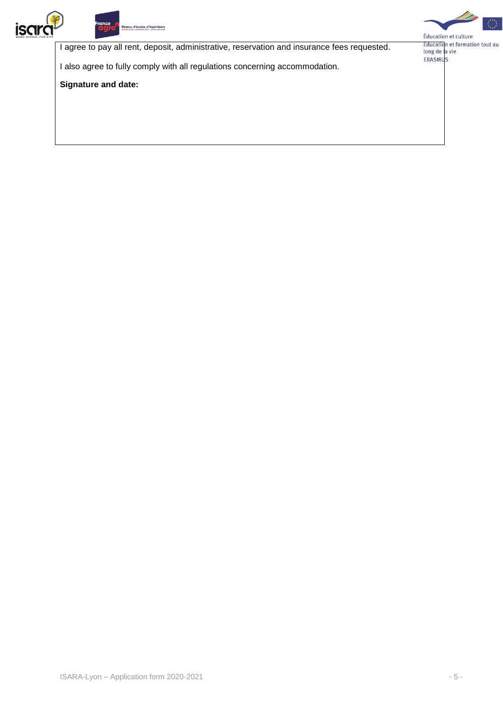



I agree to pay all rent, deposit, administrative, reservation and insurance fees requested.

I also agree to fully comply with all regulations concerning accommodation.

**Signature and date:**



Education et culture<br>Éducation et formation tout au<br>long de la vie ERASMUS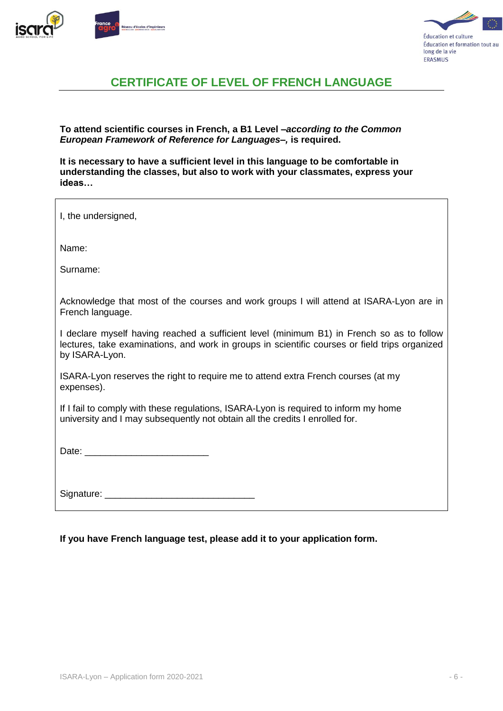





# **CERTIFICATE OF LEVEL OF FRENCH LANGUAGE**

**To attend scientific courses in French, a B1 Level** *–according to the Common European Framework of Reference for Languages–,* **is required.**

**It is necessary to have a sufficient level in this language to be comfortable in understanding the classes, but also to work with your classmates, express your ideas…**

| I, the undersigned,                                                                                                                                                                                           |
|---------------------------------------------------------------------------------------------------------------------------------------------------------------------------------------------------------------|
| Name:                                                                                                                                                                                                         |
| Surname:                                                                                                                                                                                                      |
| Acknowledge that most of the courses and work groups I will attend at ISARA-Lyon are in<br>French language.                                                                                                   |
| I declare myself having reached a sufficient level (minimum B1) in French so as to follow<br>lectures, take examinations, and work in groups in scientific courses or field trips organized<br>by ISARA-Lyon. |
| ISARA-Lyon reserves the right to require me to attend extra French courses (at my<br>expenses).                                                                                                               |
| If I fail to comply with these regulations, ISARA-Lyon is required to inform my home<br>university and I may subsequently not obtain all the credits I enrolled for.                                          |
|                                                                                                                                                                                                               |
|                                                                                                                                                                                                               |

**If you have French language test, please add it to your application form.**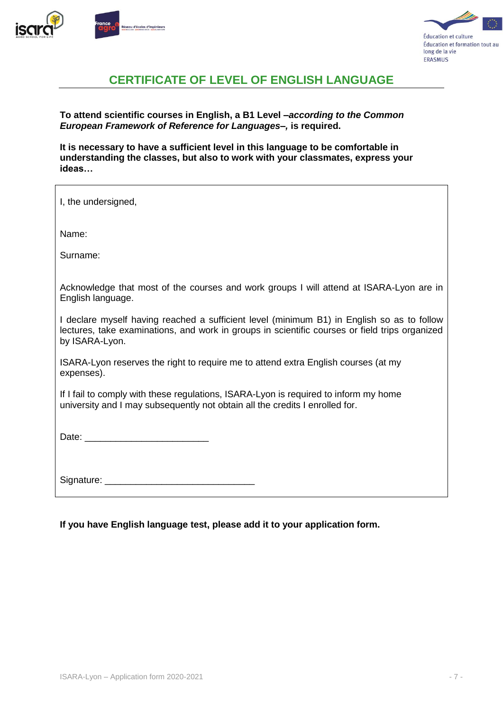



# **CERTIFICATE OF LEVEL OF ENGLISH LANGUAGE**

**To attend scientific courses in English, a B1 Level** *–according to the Common European Framework of Reference for Languages–,* **is required.**

**It is necessary to have a sufficient level in this language to be comfortable in understanding the classes, but also to work with your classmates, express your ideas…**

| I, the undersigned,                                                                                                                                                                                            |
|----------------------------------------------------------------------------------------------------------------------------------------------------------------------------------------------------------------|
| Name:                                                                                                                                                                                                          |
| Surname:                                                                                                                                                                                                       |
| Acknowledge that most of the courses and work groups I will attend at ISARA-Lyon are in<br>English language.                                                                                                   |
| I declare myself having reached a sufficient level (minimum B1) in English so as to follow<br>lectures, take examinations, and work in groups in scientific courses or field trips organized<br>by ISARA-Lyon. |
| ISARA-Lyon reserves the right to require me to attend extra English courses (at my<br>expenses).                                                                                                               |
| If I fail to comply with these regulations, ISARA-Lyon is required to inform my home<br>university and I may subsequently not obtain all the credits I enrolled for.                                           |
|                                                                                                                                                                                                                |
|                                                                                                                                                                                                                |

**If you have English language test, please add it to your application form.**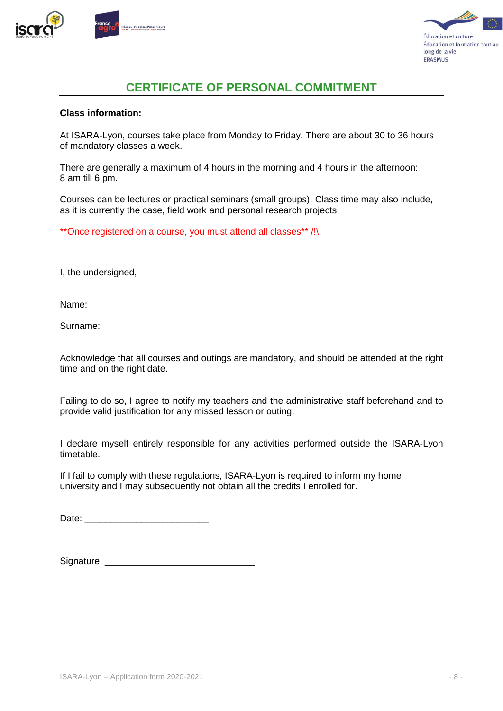



## **CERTIFICATE OF PERSONAL COMMITMENT**

#### **Class information:**

At ISARA-Lyon, courses take place from Monday to Friday. There are about 30 to 36 hours of mandatory classes a week.

There are generally a maximum of 4 hours in the morning and 4 hours in the afternoon: 8 am till 6 pm.

Courses can be lectures or practical seminars (small groups). Class time may also include, as it is currently the case, field work and personal research projects.

\*\*Once registered on a course, you must attend all classes\*\* /!\

| I, the undersigned,                                                                                                        |
|----------------------------------------------------------------------------------------------------------------------------|
| Name:                                                                                                                      |
| Surname:                                                                                                                   |
| Acknowledge that all courses and outings are mandatory, and should be attended at the right<br>time and on the right date. |

Failing to do so, I agree to notify my teachers and the administrative staff beforehand and to provide valid justification for any missed lesson or outing.

I declare myself entirely responsible for any activities performed outside the ISARA-Lyon timetable.

If I fail to comply with these regulations, ISARA-Lyon is required to inform my home university and I may subsequently not obtain all the credits I enrolled for.

Date:  $\Box$ 

| Signature: |  |
|------------|--|
|            |  |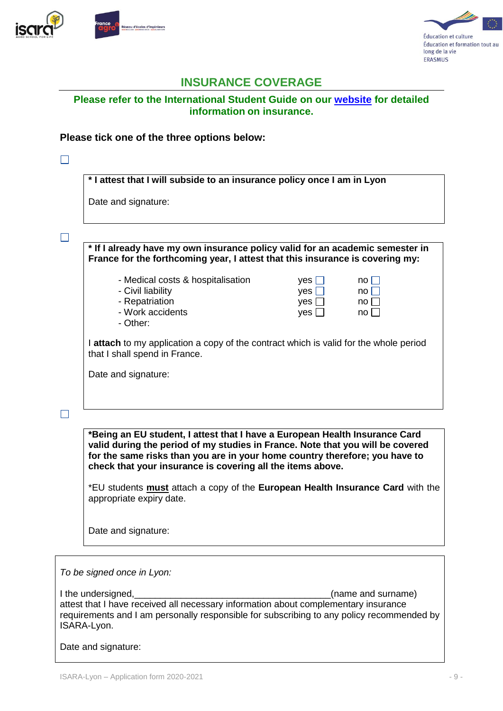



## **INSURANCE COVERAGE**

#### **Please refer to the International Student Guide on our [website](https://www.isara.fr/en/Study-at-Isara-Lyon/Exchange-students/Academic-semesters-and-intersnhips) for detailed information on insurance.**

#### **Please tick one of the three options below:**

| * I attest that I will subside to an insurance policy once I am in Lyon                                                                                                                                                                                                                                    |
|------------------------------------------------------------------------------------------------------------------------------------------------------------------------------------------------------------------------------------------------------------------------------------------------------------|
| Date and signature:                                                                                                                                                                                                                                                                                        |
|                                                                                                                                                                                                                                                                                                            |
| * If I already have my own insurance policy valid for an academic semester in<br>France for the forthcoming year, I attest that this insurance is covering my:                                                                                                                                             |
| - Medical costs & hospitalisation<br>yes $\Box$<br>no II<br>- Civil liability<br>$yes$ $\Box$<br>$no$    <br>- Repatriation<br>yes $\square$<br>$no$   <br>- Work accidents<br>yes $\Box$<br>$no \square$<br>- Other:                                                                                      |
| I attach to my application a copy of the contract which is valid for the whole period<br>that I shall spend in France.                                                                                                                                                                                     |
| Date and signature:                                                                                                                                                                                                                                                                                        |
|                                                                                                                                                                                                                                                                                                            |
| *Being an EU student, I attest that I have a European Health Insurance Card<br>valid during the period of my studies in France. Note that you will be covered<br>for the same risks than you are in your home country therefore; you have to<br>check that your insurance is covering all the items above. |
| *EU students <b>must</b> attach a copy of the <b>European Health Insurance Card</b> with the<br>appropriate expiry date.                                                                                                                                                                                   |
| Date and signature:                                                                                                                                                                                                                                                                                        |

*To be signed once in Lyon:*

I the undersigned,\_\_\_\_\_\_\_\_\_\_\_\_\_\_\_\_\_\_\_\_\_\_\_\_\_\_\_\_\_\_\_\_\_\_\_\_\_\_(name and surname) attest that I have received all necessary information about complementary insurance requirements and I am personally responsible for subscribing to any policy recommended by ISARA-Lyon.

Date and signature: